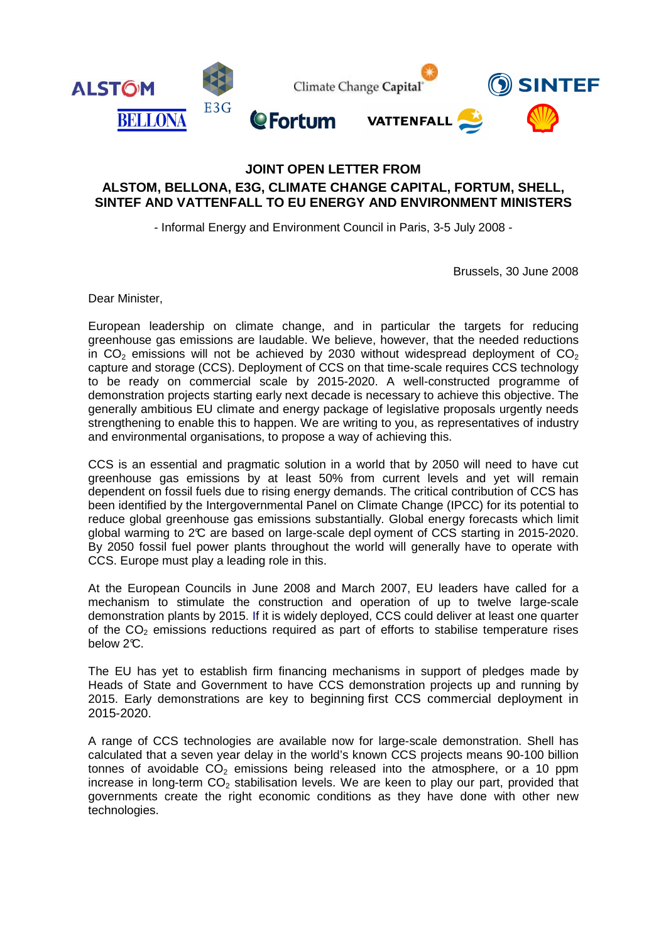

## **JOINT OPEN LETTER FROM ALSTOM, BELLONA, E3G, CLIMATE CHANGE CAPITAL, FORTUM, SHELL, SINTEF AND VATTENFALL TO EU ENERGY AND ENVIRONMENT MINISTERS**

- Informal Energy and Environment Council in Paris, 3-5 July 2008 -

Brussels, 30 June 2008

Dear Minister,

European leadership on climate change, and in particular the targets for reducing greenhouse gas emissions are laudable. We believe, however, that the needed reductions in  $CO<sub>2</sub>$  emissions will not be achieved by 2030 without widespread deployment of  $CO<sub>2</sub>$ capture and storage (CCS). Deployment of CCS on that time-scale requires CCS technology to be ready on commercial scale by 2015-2020. A well-constructed programme of demonstration projects starting early next decade is necessary to achieve this objective. The generally ambitious EU climate and energy package of legislative proposals urgently needs strengthening to enable this to happen. We are writing to you, as representatives of industry and environmental organisations, to propose a way of achieving this.

CCS is an essential and pragmatic solution in a world that by 2050 will need to have cut greenhouse gas emissions by at least 50% from current levels and yet will remain dependent on fossil fuels due to rising energy demands. The critical contribution of CCS has been identified by the Intergovernmental Panel on Climate Change (IPCC) for its potential to reduce global greenhouse gas emissions substantially. Global energy forecasts which limit global warming to 2°C are based on large-scale depl oyment of CCS starting in 2015-2020. By 2050 fossil fuel power plants throughout the world will generally have to operate with CCS. Europe must play a leading role in this.

At the European Councils in June 2008 and March 2007, EU leaders have called for a mechanism to stimulate the construction and operation of up to twelve large-scale demonstration plants by 2015. If it is widely deployed, CCS could deliver at least one quarter of the  $CO<sub>2</sub>$  emissions reductions required as part of efforts to stabilise temperature rises below 2°C.

The EU has yet to establish firm financing mechanisms in support of pledges made by Heads of State and Government to have CCS demonstration projects up and running by 2015. Early demonstrations are key to beginning first CCS commercial deployment in 2015-2020.

A range of CCS technologies are available now for large-scale demonstration. Shell has calculated that a seven year delay in the world's known CCS projects means 90-100 billion tonnes of avoidable  $CO<sub>2</sub>$  emissions being released into the atmosphere, or a 10 ppm increase in long-term  $CO<sub>2</sub>$  stabilisation levels. We are keen to play our part, provided that governments create the right economic conditions as they have done with other new technologies.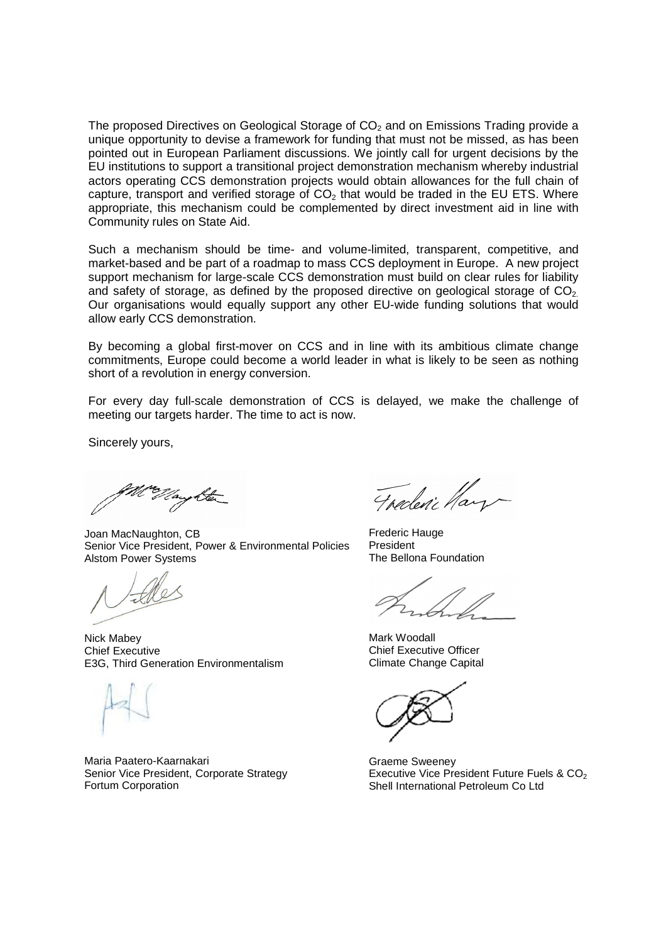The proposed Directives on Geological Storage of  $CO<sub>2</sub>$  and on Emissions Trading provide a unique opportunity to devise a framework for funding that must not be missed, as has been pointed out in European Parliament discussions. We jointly call for urgent decisions by the EU institutions to support a transitional project demonstration mechanism whereby industrial actors operating CCS demonstration projects would obtain allowances for the full chain of capture, transport and verified storage of  $CO<sub>2</sub>$  that would be traded in the EU ETS. Where appropriate, this mechanism could be complemented by direct investment aid in line with Community rules on State Aid.

Such a mechanism should be time- and volume-limited, transparent, competitive, and market-based and be part of a roadmap to mass CCS deployment in Europe. A new project support mechanism for large-scale CCS demonstration must build on clear rules for liability and safety of storage, as defined by the proposed directive on geological storage of  $CO<sub>2</sub>$ . Our organisations would equally support any other EU-wide funding solutions that would allow early CCS demonstration.

By becoming a global first-mover on CCS and in line with its ambitious climate change commitments, Europe could become a world leader in what is likely to be seen as nothing short of a revolution in energy conversion.

For every day full-scale demonstration of CCS is delayed, we make the challenge of meeting our targets harder. The time to act is now.

Sincerely yours,

Joan MacNaughton, CB Senior Vice President, Power & Environmental Policies Alstom Power Systems

Nick Mabey Chief Executive E3G, Third Generation Environmentalism

Maria Paatero-Kaarnakari Senior Vice President, Corporate Strategy Fortum Corporation

Fraderic Hay

Frederic Hauge President The Bellona Foundation

Mark Woodall Chief Executive Officer Climate Change Capital

Graeme Sweeney Executive Vice President Future Fuels &  $CO<sub>2</sub>$ Shell International Petroleum Co Ltd